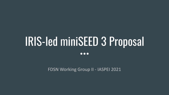# IRIS-led miniSEED 3 Proposal

 $\bullet\bullet\bullet$ 

FDSN Working Group II - IASPEI 2021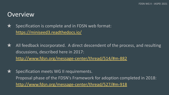#### **Overview**

 $\bigstar$  Specification is complete and in FDSN web format: <https://miniseed3.readthedocs.io/>

 $\bigstar$  All feedback incorporated. A direct descendent of the process, and resulting discussions, described here in 2017: <http://www.fdsn.org/message-center/thread/514/#m-882>

 $\bigstar$  Specification meets WG II requirements. Proposal phase of the FDSN's Framework for adoption completed in 2018: <http://www.fdsn.org/message-center/thread/527/#m-918>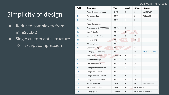#### FDSN WG II - IASPEI 2021

# Simplicity of design

- Reduced complexity from miniSEED 2
- Single custom data structure
	- Except compression

| Field          | Description                | <b>Type</b>        | Length         | Offset          | Content                    |
|----------------|----------------------------|--------------------|----------------|-----------------|----------------------------|
| 1              | Record header indicator    | <b>CHAR</b>        | $\overline{2}$ | $\Omega$        | ASCII 'MS'                 |
| $\overline{2}$ | Format version             | UINT8              | 1              | $\overline{2}$  | Value of 3                 |
| 3              | Flags                      | UINT8              | $\mathbf{1}$   | 3               |                            |
|                | Record start time          |                    |                |                 |                            |
| 4a             | Nanosecond (0 - 999999999) | UINT32             | $\overline{4}$ | $\overline{4}$  |                            |
| 4 <sub>b</sub> | Year (0-65535)             | UINT <sub>16</sub> | $\overline{2}$ | 8               |                            |
| 4 <sub>c</sub> | Day-of-year (1 - 366)      | UINT16             | $\overline{2}$ | 10              |                            |
| 4d             | Hour (0 - 23)              | UINT8              | $\mathbf{1}$   | 12              |                            |
| 4e             | Minute (0 - 59)            | UINT8              | 1              | 13              |                            |
| 4f             | Second (0 - 60)            | UINT8              | 1              | 14              |                            |
| 5              | Data payload encoding      | UINT8              | 1              | 15              | <b>Data Encodings</b>      |
| 6              | Sample rate/period         | FLOAT64            | 8              | 16              |                            |
| $\overline{7}$ | Number of samples          | UINT32             | $\overline{4}$ | 24              |                            |
| 8              | CRC of the record          | UINT32             | $\overline{4}$ | 28              |                            |
| 9              | Data publication version   | UINT8              | 1              | 32              |                            |
| 10             | Length of identifier       | UINT8              | 1              | 33              |                            |
| 11             | Length of extra headers    | UINT16             | $\overline{2}$ | 34              |                            |
| 12             | Length of data payload     | UINT32             | $\overline{4}$ | 36              |                            |
| 13             | Source identifier          | <b>CHAR</b>        | $\vee$         | 40              | URI identifier             |
| 14             | Extra header fields        | <b>JSON</b>        | V              | $40 + field 10$ |                            |
| 15             | Data payload               | encoded            | $\vee$         |                 | $40 + field 10 + field 11$ |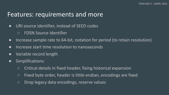#### Features: requirements and more

- URI source identifier, instead of SEED codes
	- FDSN Source Identifier
- Increase sample rate to 64-bit, notation for period (to retain resolution)
- Increase start time resolution to nanoseconds
- Variable record length
- Simplifications:
	- Critical details in fixed header, fixing historical expansion
	- Fixed byte order, header is little-endian, encodings are fixed
	- Drop legacy data encodings, reserve values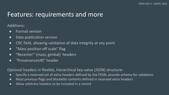#### Features: requirements and more

#### Additions:

- Format version
- Data publication version
- CRC field, allowing validation of data integrity at any point
- "Mass position off scale" flag
- "Recenter" (mass, gimbal) headers
- "ProvenanceURI" header

Optional headers in flexible, hierarchical key-value (JSON) structure:

- Specify a reserved set of extra headers defined by the FDSN, provide schema for validation
- Most previous flags and blockette contents defined in reserved extra headers
- Allow arbitrary headers to be included in a record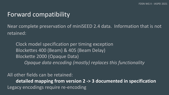## Forward compatibility

Near complete preservation of miniSEED 2.4 data. Information that is not retained:

Clock model specification per timing exception Blockettes 400 (Beam) & 405 (Beam Delay) Blockette 2000 (Opaque Data) *Opaque data encoding (mostly) replaces this functionality*

All other fields can be retained: **detailed mapping from version 2 -> 3 documented in specification** Legacy encodings require re-encoding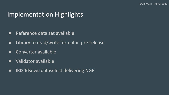# Implementation Highlights

- Reference data set available
- Library to read/write format in pre-release
- Converter available
- Validator available
- IRIS fdsnws-dataselect delivering NGF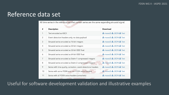# Reference data set

All time series in the reference set that contain series are the same expanding sinusoid signal.

| #              | <b>Description</b>                                             | Download                                                      |
|----------------|----------------------------------------------------------------|---------------------------------------------------------------|
| 1              | Text encoded as ASCII                                          | $\frac{1}{2}$ mseed $\frac{1}{2}$ JSON $\frac{1}{2}$ Text     |
| 2              | Event detection headers only, no data payload                  | $\frac{1}{2}$ mseed $3$ $\frac{1}{2}$ JSON $\frac{1}{2}$ Text |
| 3              | Sinusoid series encoded as 16-bit integers                     | $\frac{1}{2}$ mseed $\frac{1}{2}$ JSON $\frac{1}{2}$ Text     |
| $\overline{4}$ | Sinusoid series encoded as 32-bit integers                     | $\frac{1}{2}$ mseed $\frac{1}{2}$ JSON $\frac{1}{2}$ Text     |
| 5              | Sinusoid series encoded as 32-bit IEEE float                   | $\star$ mseed 3 $\star$ JSON $\star$ Text                     |
| 6              | Sinusoid series encoded as 64-bit IEEE float                   | $\frac{1}{2}$ mseed 3 $\frac{1}{2}$ JSON $\frac{1}{2}$ Text   |
| $\overline{7}$ | Sinusoid series encoded as Steim-1 compressed integers         | $\frac{1}{2}$ mseed 3 $\frac{1}{2}$ JSON $\frac{1}{2}$ Text   |
| 8              | Sinusoid series encoded as Steim-2 compressed integers         | $\star$ mseed 3 $\star$ JSON $\star$ Text                     |
| 9              | Series with time quality, correction, event detections headers | $\frac{1}{2}$ mseed 3 $\frac{1}{2}$ JSON $\frac{1}{2}$ Text   |
| 10             | Series with some FDSN and non-FDSN extra headers               | $\star$ mseed 3 $\star$ JSON $\star$ Text                     |
| 11             | Series with all FDSN extra headers (unrealistic)               | $\frac{1}{2}$ mseed $\frac{1}{2}$ JSON $\frac{1}{2}$ Text     |

Useful for software development validation and illustrative examples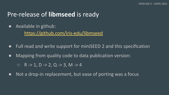# Pre-release of **libmseed** is ready

● Available in github:

<https://github.com/iris-edu/libmseed>

- Full read and write support for miniSEED 2 and this specification
- Mapping from quality code to data publication version:

 $O$  R -> 1, D -> 2, Q -> 3, M -> 4

● Not a drop-in replacement, but ease of porting was a focus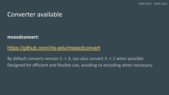#### Converter available

#### **mseedconvert**:

#### <https://github.com/iris-edu/mseedconvert>

By default converts version 2 -> 3, can also convert 3 -> 2 when possible Designed for efficient and flexible use, avoiding re-encoding when necessary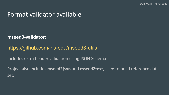#### Format validator available

**mseed3-validator**:

#### <https://github.com/iris-edu/mseed3-utils>

Includes extra header validation using JSON Schema

Project also includes **mseed2json** and **mseed2text**, used to build reference data set.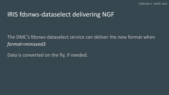#### IRIS fdsnws-dataselect delivering NGF

#### The DMC's fdsnws-dataselect service can deliver the new format when *format=miniseed3*

Data is converted on the fly, if needed.